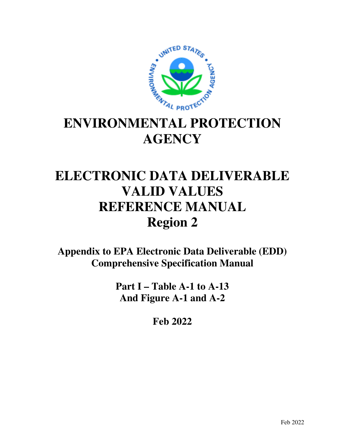

# **ENVIRONMENTAL PROTECTION AGENCY**

# **ELECTRONIC DATA DELIVERABLE VALID VALUES REFERENCE MANUAL Region 2**

**Appendix to EPA Electronic Data Deliverable (EDD) Comprehensive Specification Manual** 

> **Part I – Table A-1 to A-13 And Figure A-1 and A-2**

> > **Feb 2022**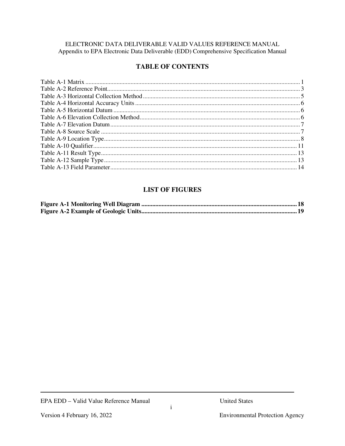#### ELECTRONIC DATA DELIVERABLE VALID VALUES REFERENCE MANUAL Appendix to EPA Electronic Data Deliverable (EDD) Comprehensive Specification Manual

# **TABLE OF CONTENTS**

# **LIST OF FIGURES**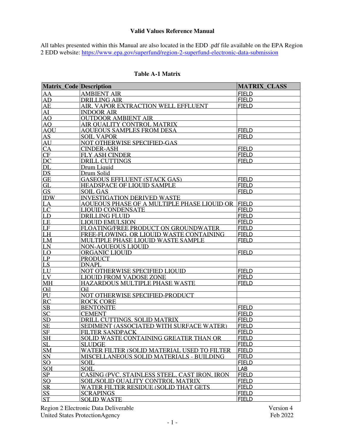#### **Valid Values Reference Manual**

All tables presented within this Manual are also located in the EDD .pdf file available on the EPA Region 2 EDD website: https://www.epa.gov/superfund/region-2-superfund-electronic-data-submission

| <b>Matrix Code Description</b> |                                                 | <b>MATRIX CLASS</b> |
|--------------------------------|-------------------------------------------------|---------------------|
| AA                             | <b>AMBIENT AIR</b>                              | <b>FIELD</b>        |
| AD                             | <b>DRILLING AIR</b>                             | <b>FIELD</b>        |
| AE                             | AIR. VAPOR EXTRACTION WELL EFFLUENT             | <b>FIELD</b>        |
| $\overline{\rm {AU}}$          | <b>INDOOR AIR</b>                               |                     |
| A <sub>O</sub>                 | <b>OUTDOOR AMBIENT AIR</b>                      |                     |
| A <sub>O</sub>                 | AIR OUALITY CONTROL MATRIX                      |                     |
| <b>AOU</b>                     | AOUEOUS SAMPLES FROM DESA                       | <b>FIELD</b>        |
| <b>AS</b>                      | <b>SOIL VAPOR</b>                               | <b>FIELD</b>        |
| AU                             | NOT OTHERWISE SPECIFIED-GAS                     |                     |
| CA                             | <b>CINDER-ASH</b>                               | <b>FIELD</b>        |
| CF                             | <b>FLY ASH CINDER</b>                           | <b>FIELD</b>        |
| DC                             | <b>DRILL CUTTINGS</b>                           | <b>FIELD</b>        |
| DL                             | Drum Liquid                                     |                     |
| DS                             | Drum Solid                                      |                     |
| <b>GE</b>                      | <b>GASEOUS EFFLUENT (STACK GAS)</b>             | <b>FIELD</b>        |
| GL                             | <b>HEADSPACE OF LIOUID SAMPLE</b>               | <b>FIELD</b>        |
| <b>GS</b>                      | <b>SOIL GAS</b>                                 | <b>FIELD</b>        |
| <b>IDW</b>                     | <b>INVESTIGATION DERIVED WASTE</b>              |                     |
| LA                             | AOUEOUS PHASE OF A MULTIPLE PHASE LIOUID OR     | <b>FIELD</b>        |
| LC                             | <b>LIOUID CONDENSATE</b>                        | <b>FIELD</b>        |
| LD                             | <b>DRILLING FLUID</b>                           | <b>FIELD</b>        |
| LE                             | <b>LIOUID EMULSION</b>                          | <b>FIELD</b>        |
| LF                             | FLOATING/FREE PRODUCT ON GROUNDWATER            | <b>FIELD</b>        |
| LH                             | FREE-FLOWING, OR LIOUID WASTE CONTAINING        | <b>FIELD</b>        |
| LM                             | MULTIPLE PHASE LIOUID WASTE SAMPLE              | <b>FIELD</b>        |
| LN                             | <b>NON-AOUEOUS LIOUID</b>                       |                     |
| LO                             | ORGANIC LIQUID                                  | <b>FIELD</b>        |
| LP                             | <b>PRODUCT</b>                                  |                     |
| LS                             | <b>DNAPL</b>                                    |                     |
| LU                             | NOT OTHERWISE SPECIFIED LIOUID                  | <b>FIELD</b>        |
| LV                             | <b>LIOUID FROM VADOSE ZONE</b>                  | <b>FIELD</b>        |
| M <sub>H</sub>                 | HAZARDOUS MULTIPLE PHASE WASTE                  | <b>FIELD</b>        |
| Oil                            | O <sub>i</sub> 1                                |                     |
| PU                             | NOT OTHERWISE SPECIFIED-PRODUCT                 |                     |
| <b>RC</b>                      | <b>ROCK CORE</b>                                |                     |
| <b>SB</b>                      | <b>BENTONITE</b>                                | <b>FIELD</b>        |
| <b>SC</b>                      | <b>CEMENT</b>                                   | <b>FIELD</b>        |
| <b>SD</b>                      | DRILL CUTTINGS, SOLID MATRIX                    | <b>FIELD</b>        |
| <b>SE</b>                      | SEDIMENT (ASSOCIATED WITH SURFACE WATER)        | <b>FIELD</b>        |
| <b>SF</b>                      | <b>FILTER SANDPACK</b>                          | <b>FIELD</b>        |
| <b>SH</b>                      | SOLID WASTE CONTAINING GREATER THAN OR          | <b>FIELD</b>        |
| <b>SL</b>                      | <b>SLUDGE</b>                                   | <b>FIELD</b>        |
| <b>SM</b>                      | WATER FILTER (SOLID MATERIAL USED TO FILTER     | <b>FIELD</b>        |
| <b>SN</b>                      | <b>MISCELLANEOUS SOLID MATERIALS - BUILDING</b> | <b>FIELD</b>        |
| <sub>SO</sub>                  | <b>SOIL</b>                                     | <b>FIELD</b>        |
| SOI                            | <b>SOIL</b>                                     | LAB                 |
| SP                             | CASING (PVC, STAINLESS STEEL, CAST IRON, IRON   | <b>FIELD</b>        |
| SO                             | SOIL/SOLID OUALITY CONTROL MATRIX               | <b>FIELD</b>        |
| <b>SR</b>                      | WATER FILTER RESIDUE (SOLID THAT GETS           | <b>FIELD</b>        |
| SS <sub>.</sub>                | <b>SCRAPINGS</b>                                | <b>FIELD</b>        |
| <b>ST</b>                      | <b>SOLID WASTE</b>                              | <b>FIELD</b>        |

#### **Table A-1 Matrix**

Region 2 Electronic Data Deliverable<br>
United States Protection Agency<br>
Feb 2022 United States ProtectionAgency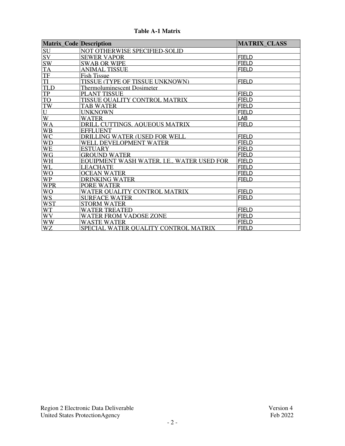| <b>Matrix_Code Description</b> |                                            | <b>MATRIX CLASS</b> |
|--------------------------------|--------------------------------------------|---------------------|
| SU                             | <b>NOT OTHERWISE SPECIFIED-SOLID</b>       |                     |
| SV                             | <b>SEWER VAPOR</b>                         | <b>FIELD</b>        |
| <b>SW</b>                      | <b>SWAB OR WIPE</b>                        | <b>FIELD</b>        |
| <b>TA</b>                      | ANIMAL TISSUE                              | <b>FIELD</b>        |
| <b>TF</b>                      | <b>Fish Tissue</b>                         |                     |
| $\overline{\mathrm{II}}$       | TISSUE (TYPE OF TISSUE UNKNOWN)            | <b>FIELD</b>        |
| <b>TLD</b>                     | <b>Thermoluminescent Dosimeter</b>         |                     |
| <b>TP</b>                      | <b>PLANT TISSUE</b>                        | <b>FIELD</b>        |
| <b>TO</b>                      | TISSUE OUALITY CONTROL MATRIX              | <b>FIELD</b>        |
| TW                             | <b>TAB WATER</b>                           | <b>FIELD</b>        |
| U                              | <b>UNKNOWN</b>                             | <b>FIELD</b>        |
| W                              | <b>WATER</b>                               | LAB                 |
| <b>WA</b>                      | DRILL CUTTINGS, AOUEOUS MATRIX             | <b>FIELD</b>        |
| <b>WB</b>                      | <b>EFFLUENT</b>                            |                     |
| <b>WC</b>                      | DRILLING WATER (USED FOR WELL              | <b>FIELD</b>        |
| <b>WD</b>                      | WELL DEVELOPMENT WATER                     | <b>FIELD</b>        |
| <b>WE</b>                      | <b>ESTUARY</b>                             | <b>FIELD</b>        |
| <b>WG</b>                      | <b>GROUND WATER</b>                        | <b>FIELD</b>        |
| <b>WH</b>                      | EOUIPMENT WASH WATER, I.E., WATER USED FOR | <b>FIELD</b>        |
| WL                             | <b>LEACHATE</b>                            | <b>FIELD</b>        |
| <b>WO</b>                      | <b>OCEAN WATER</b>                         | <b>FIELD</b>        |
| <b>WP</b>                      | <b>DRINKING WATER</b>                      | <b>FIELD</b>        |
| <b>WPR</b>                     | PORE WATER                                 |                     |
| <b>WO</b>                      | WATER OUALITY CONTROL MATRIX               | <b>FIELD</b>        |
| <b>WS</b>                      | <b>SURFACE WATER</b>                       | <b>FIELD</b>        |
| <b>WST</b>                     | <b>STORM WATER</b>                         |                     |
| <b>WT</b>                      | <b>WATER TREATED</b>                       | <b>FIELD</b>        |
| <b>WV</b>                      | <b>WATER FROM VADOSE ZONE</b>              | <b>FIELD</b>        |
| <b>WW</b>                      | <b>WASTE WATER</b>                         | <b>FIELD</b>        |
| <b>WZ</b>                      | SPECIAL WATER OUALITY CONTROL MATRIX       | <b>FIELD</b>        |

**Table A-1 Matrix**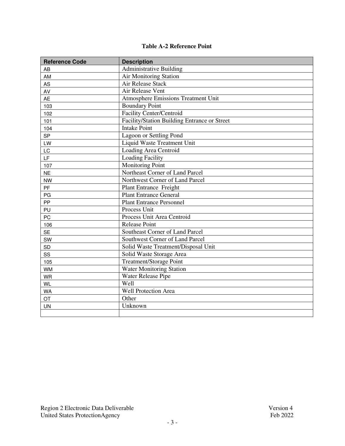#### **Table A-2 Reference Point**

| <b>Reference Code</b> | <b>Description</b>                           |  |
|-----------------------|----------------------------------------------|--|
| AB                    | <b>Administrative Building</b>               |  |
| AM                    | Air Monitoring Station                       |  |
| AS                    | Air Release Stack                            |  |
| AV                    | Air Release Vent                             |  |
| <b>AE</b>             | <b>Atmosphere Emissions Treatment Unit</b>   |  |
| 103                   | <b>Boundary Point</b>                        |  |
| 102                   | <b>Facility Center/Centroid</b>              |  |
| 101                   | Facility/Station Building Entrance or Street |  |
| 104                   | <b>Intake Point</b>                          |  |
| <b>SP</b>             | Lagoon or Settling Pond                      |  |
| LW                    | <b>Liquid Waste Treatment Unit</b>           |  |
| LC                    | Loading Area Centroid                        |  |
| LF                    | <b>Loading Facility</b>                      |  |
| 107                   | <b>Monitoring Point</b>                      |  |
| <b>NE</b>             | Northeast Corner of Land Parcel              |  |
| <b>NW</b>             | Northwest Corner of Land Parcel              |  |
| PF                    | <b>Plant Entrance Freight</b>                |  |
| PG                    | <b>Plant Entrance General</b>                |  |
| PP                    | <b>Plant Entrance Personnel</b>              |  |
| PU                    | Process Unit                                 |  |
| PC                    | Process Unit Area Centroid                   |  |
| 106                   | <b>Release Point</b>                         |  |
| <b>SE</b>             | Southeast Corner of Land Parcel              |  |
| SW                    | Southwest Corner of Land Parcel              |  |
| SD                    | Solid Waste Treatment/Disposal Unit          |  |
| SS                    | Solid Waste Storage Area                     |  |
| 105                   | <b>Treatment/Storage Point</b>               |  |
| <b>WM</b>             | <b>Water Monitoring Station</b>              |  |
| <b>WR</b>             | Water Release Pipe                           |  |
| <b>WL</b>             | Well                                         |  |
| <b>WA</b>             | <b>Well Protection Area</b>                  |  |
| <b>OT</b>             | Other                                        |  |
| <b>UN</b>             | Unknown                                      |  |
|                       |                                              |  |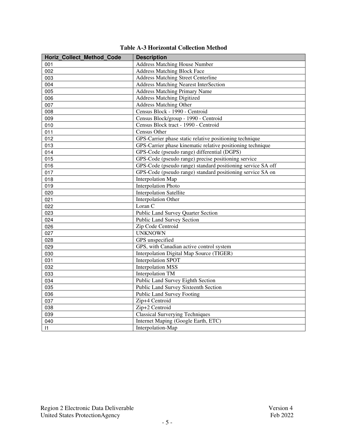| <b>Horiz Collect Method Code</b> | <b>Description</b>                                          |
|----------------------------------|-------------------------------------------------------------|
| 001                              | <b>Address Matching House Number</b>                        |
| 002                              | <b>Address Matching Block Face</b>                          |
| 003                              | <b>Address Matching Street Centerline</b>                   |
| 004                              | <b>Address Matching Nearest InterSection</b>                |
| 005                              | <b>Address Matching Primary Name</b>                        |
| 006                              | <b>Address Matching Digitized</b>                           |
| 007                              | <b>Address Matching Other</b>                               |
| 008                              | Census Block - 1990 - Centroid                              |
| 009                              | Census Block/group - 1990 - Centroid                        |
| 010                              | Census Block tract - 1990 - Centroid                        |
| 011                              | Census Other                                                |
| 012                              | GPS-Carrier phase static relative positioning technique     |
| 013                              | GPS-Carrier phase kinematic relative positioning technique  |
| 014                              | GPS-Code (pseudo range) differential (DGPS)                 |
| 015                              | GPS-Code (pseudo range) precise positioning service         |
| 016                              | GPS-Code (pseudo range) standard positioning service SA off |
| 017                              | GPS-Code (pseudo range) standard positioning service SA on  |
| 018                              | Interpolation Map                                           |
| 019                              | <b>Interpolation Photo</b>                                  |
| 020                              | <b>Interpolation Satellite</b>                              |
| 021                              | <b>Interpolation Other</b>                                  |
| 022                              | Loran C                                                     |
| 023                              | Public Land Survey Quarter Section                          |
| 024                              | <b>Public Land Survey Section</b>                           |
| 026                              | Zip Code Centroid                                           |
| 027                              | <b>UNKNOWN</b>                                              |
| 028                              | GPS unspecified                                             |
| 029                              | GPS, with Canadian active control system                    |
| 030                              | Interpolation Digital Map Source (TIGER)                    |
| 031                              | <b>Interpolation SPOT</b>                                   |
| 032                              | <b>Interpolation MSS</b>                                    |
| 033                              | <b>Interpolation TM</b>                                     |
| 034                              | Public Land Survey Eighth Section                           |
| 035                              | Public Land Survey Sixteenth Section                        |
| 036                              | <b>Public Land Survey Footing</b>                           |
| 037                              | Zip+4 Centroid                                              |
| 038                              | Zip+2 Centroid                                              |
| 039                              | <b>Classical Surverying Techniques</b>                      |
| 040                              | Internet Maping (Google Earth, ETC)                         |
| 1                                | Interpolation-Map                                           |

## **Table A-3 Horizontal Collection Method**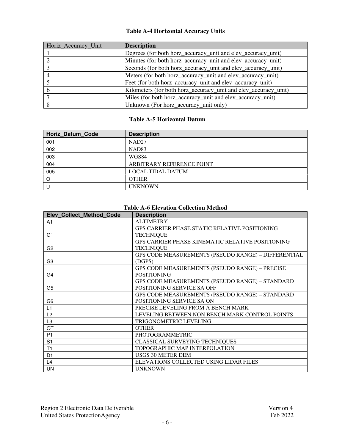## **Table A-4 Horizontal Accuracy Units**

| Horiz_Accuracy_Unit | <b>Description</b>                                              |
|---------------------|-----------------------------------------------------------------|
|                     | Degrees (for both horz_accuracy_unit and elev_accuracy_unit)    |
|                     | Minutes (for both horz_accuracy_unit and elev_accuracy_unit)    |
|                     | Seconds (for both horz_accuracy_unit and elev_accuracy_unit)    |
|                     | Meters (for both horz_accuracy_unit and elev_accuracy_unit)     |
|                     | Feet (for both horz_accuracy_unit and elev_accuracy_unit)       |
|                     | Kilometers (for both horz_accuracy_unit and elev_accuracy_unit) |
|                     | Miles (for both horz_accuracy_unit and elev_accuracy_unit)      |
| 8                   | Unknown (For horz_accuracy_unit only)                           |

#### **Table A-5 Horizontal Datum**

| <b>Horiz Datum Code</b> | <b>Description</b>        |
|-------------------------|---------------------------|
| 001                     | NAD <sub>27</sub>         |
| 002                     | NAD <sub>83</sub>         |
| 003                     | WGS84                     |
| 004                     | ARBITRARY REFERENCE POINT |
| 005                     | <b>LOCAL TIDAL DATUM</b>  |
| O                       | <b>OTHER</b>              |
|                         | <b>UNKNOWN</b>            |

#### **Table A-6 Elevation Collection Method**

| <b>Elev Collect Method Code</b> | <b>Description</b>                                  |
|---------------------------------|-----------------------------------------------------|
| A1                              | <b>ALTIMETRY</b>                                    |
|                                 | GPS CARRIER PHASE STATIC RELATIVE POSITIONING       |
| G <sub>1</sub>                  | <b>TECHNIQUE</b>                                    |
|                                 | GPS CARRIER PHASE KINEMATIC RELATIVE POSITIONING    |
| G <sub>2</sub>                  | <b>TECHNIQUE</b>                                    |
|                                 | GPS CODE MEASUREMENTS (PSEUDO RANGE) - DIFFERENTIAL |
| G <sub>3</sub>                  | (DGPS)                                              |
|                                 | GPS CODE MEASUREMENTS (PSEUDO RANGE) - PRECISE      |
| G4                              | <b>POSITIONING</b>                                  |
|                                 | GPS CODE MEASUREMENTS (PSEUDO RANGE) - STANDARD     |
| G <sub>5</sub>                  | POSITIONING SERVICE SA OFF                          |
|                                 | GPS CODE MEASUREMENTS (PSEUDO RANGE) – STANDARD     |
| G <sub>6</sub>                  | POSITIONING SERVICE SA ON                           |
| L1                              | PRECISE LEVELING FROM A BENCH MARK                  |
| L <sub>2</sub>                  | LEVELING BETWEEN NON BENCH MARK CONTROL POINTS      |
| L <sub>3</sub>                  | TRIGONOMETRIC LEVELING                              |
| OT                              | <b>OTHER</b>                                        |
| P <sub>1</sub>                  | PHOTOGRAMMETRIC                                     |
| S <sub>1</sub>                  | <b>CLASSICAL SURVEYING TECHNIQUES</b>               |
| T1                              | TOPOGRAPHIC MAP INTERPOLATION                       |
| D <sub>1</sub>                  | <b>USGS 30 METER DEM</b>                            |
| L4                              | ELEVATIONS COLLECTED USING LIDAR FILES              |
| <b>UN</b>                       | <b>UNKNOWN</b>                                      |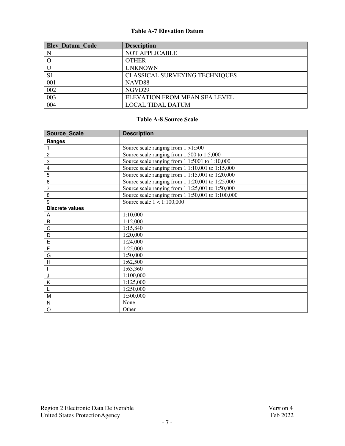#### **Table A-7 Elevation Datum**

| <b>Elev Datum Code</b> | <b>Description</b>             |
|------------------------|--------------------------------|
| N                      | <b>NOT APPLICABLE</b>          |
|                        | <b>OTHER</b>                   |
| $\mathbf U$            | <b>UNKNOWN</b>                 |
| S <sub>1</sub>         | CLASSICAL SURVEYING TECHNIQUES |
| 001                    | NAVD <sub>88</sub>             |
| 002                    | NGVD29                         |
| 003                    | ELEVATION FROM MEAN SEA LEVEL  |
| 004                    | <b>LOCAL TIDAL DATUM</b>       |

#### **Table A-8 Source Scale**

| <b>Source Scale</b>    | <b>Description</b>                                  |
|------------------------|-----------------------------------------------------|
| Ranges                 |                                                     |
|                        | Source scale ranging from $1 > 1:500$               |
| $\overline{c}$         | Source scale ranging from 1:500 to 1:5,000          |
| 3                      | Source scale ranging from $11:5001$ to $1:10,000$   |
| 4                      | Source scale ranging from $11:10,001$ to $1:15,000$ |
| 5                      | Source scale ranging from 1 1:15,001 to 1:20,000    |
| 6                      | Source scale ranging from 1 1:20,001 to 1:25,000    |
| $\overline{7}$         | Source scale ranging from 1 1:25,001 to 1:50,000    |
| 8                      | Source scale ranging from 1 1:50,001 to 1:100,000   |
| 9                      | Source scale $1 < 1:100,000$                        |
| <b>Discrete values</b> |                                                     |
| Α                      | 1:10,000                                            |
| B                      | 1:12,000                                            |
| C                      | 1:15,840                                            |
| D                      | 1:20,000                                            |
| E                      | 1:24,000                                            |
| F                      | 1:25,000                                            |
| G                      | 1:50,000                                            |
| H                      | 1:62,500                                            |
|                        | 1:63,360                                            |
| J                      | 1:100,000                                           |
| K                      | 1:125,000                                           |
|                        | 1:250,000                                           |
| M                      | 1:500,000                                           |
| N                      | None                                                |
| $\circ$                | Other                                               |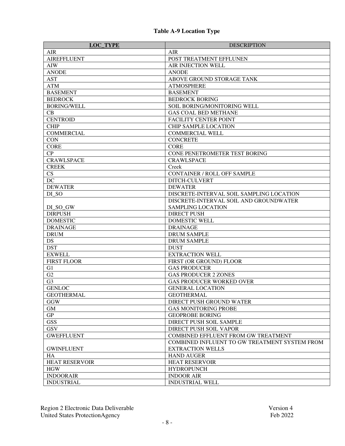| <b>LOC_TYPE</b>       | <b>DESCRIPTION</b>                            |
|-----------------------|-----------------------------------------------|
| <b>AIR</b>            | <b>AIR</b>                                    |
| <b>AIREFFLUENT</b>    | POST TREATMENT EFFLUNEN                       |
| AIW                   | AIR INJECTION WELL                            |
| <b>ANODE</b>          | <b>ANODE</b>                                  |
| <b>AST</b>            | ABOVE GROUND STORAGE TANK                     |
| <b>ATM</b>            | <b>ATMOSPHERE</b>                             |
| <b>BASEMENT</b>       | <b>BASEMENT</b>                               |
| <b>BEDROCK</b>        | <b>BEDROCK BORING</b>                         |
| <b>BORING/WELL</b>    | SOIL BORING/MONITORING WELL                   |
| CB                    | <b>GAS COAL BED METHANE</b>                   |
| <b>CENTROID</b>       | <b>FACILITY CENTER POINT</b>                  |
| <b>CHIP</b>           | <b>CHIP SAMPLE LOCATION</b>                   |
| <b>COMMERCIAL</b>     | <b>COMMERCIAL WELL</b>                        |
| <b>CON</b>            | <b>CONCRETE</b>                               |
| <b>CORE</b>           | <b>CORE</b>                                   |
| CP                    | CONE PENETROMETER TEST BORING                 |
| <b>CRAWLSPACE</b>     | <b>CRAWLSPACE</b>                             |
| <b>CREEK</b>          | Creek                                         |
| CS                    | <b>CONTAINER / ROLL OFF SAMPLE</b>            |
| DC                    | DITCH-CULVERT                                 |
| <b>DEWATER</b>        | <b>DEWATER</b>                                |
| DI_SO                 | DISCRETE-INTERVAL SOIL SAMPLING LOCATION      |
|                       | DISCRETE-INTERVAL SOIL AND GROUNDWATER        |
| DI_SO_GW              | <b>SAMPLING LOCATION</b>                      |
| <b>DIRPUSH</b>        | <b>DIRECT PUSH</b>                            |
| <b>DOMESTIC</b>       | <b>DOMESTIC WELL</b>                          |
| <b>DRAINAGE</b>       | <b>DRAINAGE</b>                               |
| <b>DRUM</b>           | <b>DRUM SAMPLE</b>                            |
| DS                    | <b>DRUM SAMPLE</b>                            |
| <b>DST</b>            | <b>DUST</b>                                   |
| <b>EXWELL</b>         | <b>EXTRACTION WELL</b>                        |
| <b>FIRST FLOOR</b>    | FIRST (OR GROUND) FLOOR                       |
| G <sub>1</sub>        | <b>GAS PRODUCER</b>                           |
| G2                    | <b>GAS PRODUCER 2 ZONES</b>                   |
| G <sub>3</sub>        | <b>GAS PRODUCER WORKED OVER</b>               |
| <b>GENLOC</b>         | <b>GENERAL LOCATION</b>                       |
| <b>GEOTHERMAL</b>     | <b>GEOTHERMAL</b>                             |
| GGW                   | DIRECT PUSH GROUND WATER                      |
| <b>GM</b>             | <b>GAS MONITORING PROBE</b>                   |
| GP                    | <b>GEOPROBE BORING</b>                        |
| <b>GSS</b>            | DIRECT PUSH SOIL SAMPLE                       |
| <b>GSV</b>            | DIRECT PUSH SOIL VAPOR                        |
| <b>GWEFFLUENT</b>     | <b>COMBINED EFFLUENT FROM GW TREATMENT</b>    |
|                       | COMBINED INFLUENT TO GW TREATMENT SYSTEM FROM |
| <b>GWINFLUENT</b>     | <b>EXTRACTION WELLS</b>                       |
| HA                    | <b>HAND AUGER</b>                             |
| <b>HEAT RESERVOIR</b> | <b>HEAT RESERVOIR</b>                         |
| <b>HGW</b>            | <b>HYDROPUNCH</b>                             |
| <b>INDOORAIR</b>      | <b>INDOOR AIR</b>                             |
| <b>INDUSTRIAL</b>     | <b>INDUSTRIAL WELL</b>                        |

Region 2 Electronic Data Deliverable Version 4 United States ProtectionAgency Feb 2022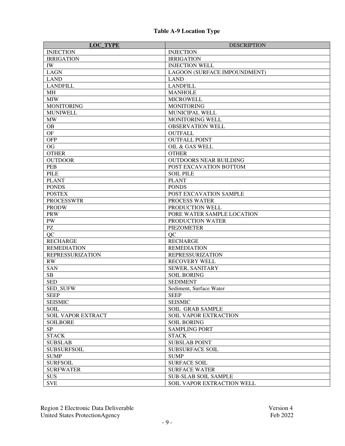| <b>LOC_TYPE</b>           | <b>DESCRIPTION</b>            |
|---------------------------|-------------------------------|
| <b>INJECTION</b>          | <b>INJECTION</b>              |
| <b>IRRIGATION</b>         | <b>IRRIGATION</b>             |
| IW                        | <b>INJECTION WELL</b>         |
| <b>LAGN</b>               | LAGOON (SURFACE IMPOUNDMENT)  |
| <b>LAND</b>               | <b>LAND</b>                   |
| <b>LANDFILL</b>           | <b>LANDFILL</b>               |
| <b>MH</b>                 | <b>MANHOLE</b>                |
| <b>MIW</b>                | <b>MICROWELL</b>              |
| <b>MONITORING</b>         | <b>MONITORING</b>             |
| <b>MUNIWELL</b>           | MUNICIPAL WELL                |
| <b>MW</b>                 | MONITORING WELL               |
| <b>OB</b>                 | <b>OBSERVATION WELL</b>       |
| <b>OF</b>                 | <b>OUTFALL</b>                |
| <b>OFP</b>                | <b>OUTFALL POINT</b>          |
| OG                        | OIL & GAS WELL                |
| <b>OTHER</b>              | <b>OTHER</b>                  |
| <b>OUTDOOR</b>            | <b>OUTDOORS NEAR BUILDING</b> |
| PEB                       | POST EXCAVATION BOTTOM        |
| <b>PILE</b>               | <b>SOIL PILE</b>              |
| <b>PLANT</b>              | <b>PLANT</b>                  |
| <b>PONDS</b>              | <b>PONDS</b>                  |
| <b>POSTEX</b>             | POST EXCAVATION SAMPLE        |
| <b>PROCESSWTR</b>         | PROCESS WATER                 |
| <b>PRODW</b>              | PRODUCTION WELL               |
| <b>PRW</b>                | PORE WATER SAMPLE LOCATION    |
| PW                        | PRODUCTION WATER              |
| $\mathbf{P}\mathbf{Z}$    | <b>PIEZOMETER</b>             |
| QC                        | QC                            |
| <b>RECHARGE</b>           | <b>RECHARGE</b>               |
| <b>REMEDIATION</b>        | <b>REMEDIATION</b>            |
| <b>REPRESSURIZATION</b>   | <b>REPRESSURIZATION</b>       |
| RW                        | <b>RECOVERY WELL</b>          |
| <b>SAN</b>                | SEWER, SANITARY               |
| ${\bf SB}$                | <b>SOIL BORING</b>            |
| <b>SED</b>                | <b>SEDIMENT</b>               |
| SED_SUFW                  | Sediment, Surface Water       |
| <b>SEEP</b>               | <b>SEEP</b>                   |
| <b>SEISMIC</b>            | <b>SEISMIC</b>                |
| <b>SOIL</b>               | <b>SOIL GRAB SAMPLE</b>       |
| <b>SOIL VAPOR EXTRACT</b> | <b>SOIL VAPOR EXTRACTION</b>  |
| <b>SOILBORE</b>           | <b>SOIL BORING</b>            |
| SP                        | <b>SAMPLING PORT</b>          |
| <b>STACK</b>              | <b>STACK</b>                  |
| <b>SUBSLAB</b>            | <b>SUBSLAB POINT</b>          |
| <b>SUBSURFSOIL</b>        | <b>SUBSURFACE SOIL</b>        |
| <b>SUMP</b>               | <b>SUMP</b>                   |
| <b>SURFSOIL</b>           | <b>SURFACE SOIL</b>           |
| <b>SURFWATER</b>          | <b>SURFACE WATER</b>          |
| <b>SUS</b>                | <b>SUB-SLAB SOIL SAMPLE</b>   |
| <b>SVE</b>                | SOIL VAPOR EXTRACTION WELL    |
|                           |                               |

## **Table A-9 Location Type**

Region 2 Electronic Data Deliverable Version 4 United States ProtectionAgency Feb 2022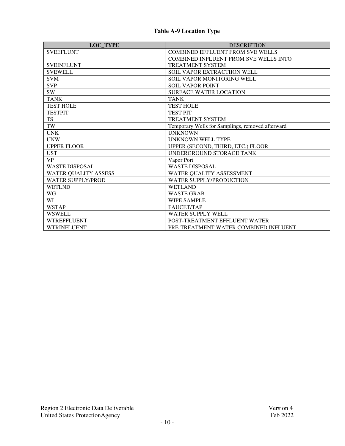| <b>LOC TYPE</b>             | <b>DESCRIPTION</b>                               |
|-----------------------------|--------------------------------------------------|
| <b>SVEEFLUNT</b>            | <b>COMBINED EFFLUENT FROM SVE WELLS</b>          |
|                             | <b>COMBINED INFLUENT FROM SVE WELLS INTO</b>     |
| <b>SVEINFLUNT</b>           | <b>TREATMENT SYSTEM</b>                          |
| <b>SVEWELL</b>              | SOIL VAPOR EXTRACTIION WELL                      |
| <b>SVM</b>                  | SOIL VAPOR MONITORING WELL                       |
| <b>SVP</b>                  | <b>SOIL VAPOR POINT</b>                          |
| <b>SW</b>                   | <b>SURFACE WATER LOCATION</b>                    |
| <b>TANK</b>                 | <b>TANK</b>                                      |
| <b>TEST HOLE</b>            | <b>TEST HOLE</b>                                 |
| <b>TESTPIT</b>              | <b>TEST PIT</b>                                  |
| <b>TS</b>                   | <b>TREATMENT SYSTEM</b>                          |
| TW                          | Temporary Wells for Samplings, removed afterward |
| <b>UNK</b>                  | <b>UNKNOWN</b>                                   |
| <b>UNW</b>                  | UNKNOWN WELL TYPE                                |
| <b>UPPER FLOOR</b>          | UPPER (SECOND, THIRD, ETC.) FLOOR                |
| <b>UST</b>                  | UNDERGROUND STORAGE TANK                         |
| <b>VP</b>                   | Vapor Port                                       |
| <b>WASTE DISPOSAL</b>       | <b>WASTE DISPOSAL</b>                            |
| <b>WATER QUALITY ASSESS</b> | WATER QUALITY ASSESSMENT                         |
| <b>WATER SUPPLY/PROD</b>    | WATER SUPPLY/PRODUCTION                          |
| <b>WETLND</b>               | <b>WETLAND</b>                                   |
| WG                          | <b>WASTE GRAB</b>                                |
| WI                          | <b>WIPE SAMPLE</b>                               |
| <b>WSTAP</b>                | <b>FAUCET/TAP</b>                                |
| <b>WSWELL</b>               | <b>WATER SUPPLY WELL</b>                         |
| <b>WTREFFLUENT</b>          | POST-TREATMENT EFFLUENT WATER                    |
| <b>WTRINFLUENT</b>          | PRE-TREATMENT WATER COMBINED INFLUENT            |

## **Table A-9 Location Type**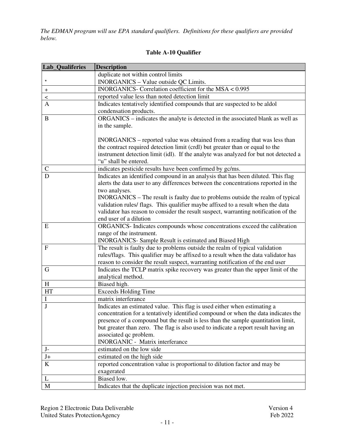*The EDMAN program will use EPA standard qualifiers. Definitions for these qualifiers are provided below.* 

| <b>Lab_Qualiferies</b>  | <b>Description</b>                                                                                                                                             |
|-------------------------|----------------------------------------------------------------------------------------------------------------------------------------------------------------|
|                         | duplicate not within control limits                                                                                                                            |
| $\star$                 | INORGANICS - Value outside QC Limits.                                                                                                                          |
| $\ddot{}$               | INORGANICS- Correlation coefficient for the MSA < 0.995                                                                                                        |
| $\,<$                   | reported value less than noted detection limit                                                                                                                 |
| $\mathbf{A}$            | Indicates tentatively identified compounds that are suspected to be aldol                                                                                      |
|                         | condensation products.                                                                                                                                         |
| $\bf{B}$                | ORGANICS – indicates the analyte is detected in the associated blank as well as                                                                                |
|                         | in the sample.                                                                                                                                                 |
|                         |                                                                                                                                                                |
|                         | INORGANICS – reported value was obtained from a reading that was less than                                                                                     |
|                         | the contract required detection limit (crdl) but greater than or equal to the                                                                                  |
|                         | instrument detection limit (idl). If the analyte was analyzed for but not detected a                                                                           |
|                         | "u" shall be entered.                                                                                                                                          |
| $\mathsf{C}$            | indicates pesticide results have been confirmed by gc/ms.                                                                                                      |
| D                       | Indicates an identified compound in an analysis that has been diluted. This flag                                                                               |
|                         | alerts the data user to any differences between the concentrations reported in the                                                                             |
|                         | two analyses.                                                                                                                                                  |
|                         | INORGANICS – The result is faulty due to problems outside the realm of typical                                                                                 |
|                         | validation rules/ flags. This qualifier maybe affixed to a result when the data                                                                                |
|                         | validator has reason to consider the result suspect, warranting notification of the                                                                            |
|                         | end user of a dilution                                                                                                                                         |
| E                       | ORGANICS- Indicates compounds whose concentrations exceed the calibration                                                                                      |
|                         | range of the instrument.                                                                                                                                       |
|                         | INORGANICS- Sample Result is estimated and Biased High                                                                                                         |
| $\mathbf{F}$            | The result is faulty due to problems outside the realm of typical validation                                                                                   |
|                         | rules/flags. This qualifier may be affixed to a result when the data validator has                                                                             |
|                         | reason to consider the result suspect, warranting notification of the end user                                                                                 |
| $\mathbf G$             | Indicates the TCLP matrix spike recovery was greater than the upper limit of the                                                                               |
| H                       | analytical method.<br>Biased high.                                                                                                                             |
| <b>HT</b>               | <b>Exceeds Holding Time</b>                                                                                                                                    |
| $\mathbf I$             | matrix interferance                                                                                                                                            |
| $\mathbf{J}$            |                                                                                                                                                                |
|                         | Indicates an estimated value. This flag is used either when estimating a<br>concentration for a tentatively identified compound or when the data indicates the |
|                         | presence of a compound but the result is less than the sample quantitation limit,                                                                              |
|                         | but greater than zero. The flag is also used to indicate a report result having an                                                                             |
|                         | associated qc problem.                                                                                                                                         |
|                         | <b>INORGANIC - Matrix interferance</b>                                                                                                                         |
| $J-$                    | estimated on the low side                                                                                                                                      |
| $\mathrm{J}+$           | estimated on the high side                                                                                                                                     |
| $\overline{\mathbf{K}}$ | reported concentration value is proportional to dilution factor and may be                                                                                     |
|                         | exagerated                                                                                                                                                     |
| L                       | Biased low.                                                                                                                                                    |
| $\mathbf M$             | Indicates that the duplicate injection precision was not met.                                                                                                  |
|                         |                                                                                                                                                                |

### **Table A-10 Qualifier**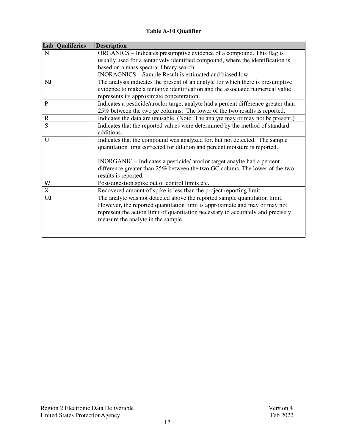## **Table A-10 Qualifier**

| Lab_Qualiferies | <b>Description</b>                                                                 |
|-----------------|------------------------------------------------------------------------------------|
| N               | ORGANICS – Indicates presumptive evidence of a compound. This flag is              |
|                 | usually used for a tentatively identified compound, where the identification is    |
|                 | based on a mass spectral library search.                                           |
|                 | INORAGNICS - Sample Result is estimated and biased low.                            |
| NJ              | The analysis indicates the present of an analyte for which there is presumptive    |
|                 | evidence to make a tentative identification and the associated numerical value     |
|                 | represents its approximate concentration.                                          |
| P               | Indicates a pesticide/aroclor target analyte had a percent difference greater than |
|                 | 25% between the two gc columns. The lower of the two results is reported.          |
| $\mathbf R$     | Indicates the data are unusable. (Note: The analyte may or may not be present.)    |
| S               | Indicates that the reported values were determined by the method of standard       |
|                 | additions.                                                                         |
| U               | Indicates that the compound was analyzed for, but not detected. The sample         |
|                 | quantitation limit corrected for dilution and percent moisture is reported.        |
|                 |                                                                                    |
|                 | INORGANIC - Indicates a pesticide/aroclor target anaylte had a percent             |
|                 | difference greater than 25% between the two GC colums. The lower of the two        |
|                 | results is reported.                                                               |
| W               | Post-digestion spike out of control limits etc.                                    |
| X               | Recovered amount of spike is less than the project reporting limit.                |
| UJ              | The analyte was not detected above the reported sample quantitation limit.         |
|                 | However, the reported quantitation limit is approximate and may or may not         |
|                 | represent the action limit of quantitation necessary to accurately and precisely   |
|                 | measure the analyte in the sample.                                                 |
|                 |                                                                                    |
|                 |                                                                                    |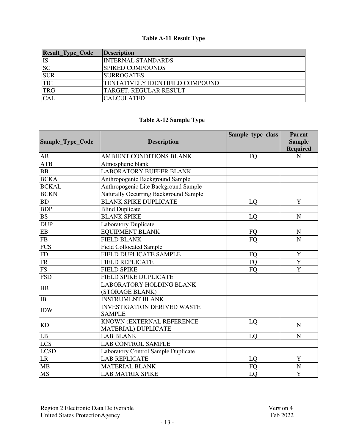# **Table A-11 Result Type**

| Result_Type_Code | <b>Description</b>              |
|------------------|---------------------------------|
| <b>IS</b>        | <b>INTERNAL STANDARDS</b>       |
| <b>SC</b>        | <b>SPIKED COMPOUNDS</b>         |
| <b>SUR</b>       | <b>SURROGATES</b>               |
| <b>TIC</b>       | TENTATIVELY IDENTIFIED COMPOUND |
| <b>TRG</b>       | TARGET, REGULAR RESULT          |
| <b>CAL</b>       | <b>CALCULATED</b>               |

## **Table A-12 Sample Type**

|                        |                                            | Sample_type_class | <b>Parent</b>   |
|------------------------|--------------------------------------------|-------------------|-----------------|
| Sample_Type_Code       | <b>Description</b>                         |                   | <b>Sample</b>   |
|                        |                                            |                   | <b>Required</b> |
| AB                     | <b>AMBIENT CONDITIONS BLANK</b>            | <b>FO</b>         | ${\bf N}$       |
| <b>ATB</b>             | Atmospheric blank                          |                   |                 |
| <b>BB</b>              | <b>LABORATORY BUFFER BLANK</b>             |                   |                 |
| <b>BCKA</b>            | Anthropogenic Background Sample            |                   |                 |
| <b>BCKAL</b>           | Anthropogenic Lite Background Sample       |                   |                 |
| <b>BCKN</b>            | Naturally Occurring Background Sample      |                   |                 |
| <b>BD</b>              | <b>BLANK SPIKE DUPLICATE</b>               | LQ                | Y               |
| <b>BDP</b>             | <b>Blind Duplicate</b>                     |                   |                 |
| <b>BS</b>              | <b>BLANK SPIKE</b>                         | LQ                | $\mathbf N$     |
| <b>DUP</b>             | <b>Laboratory Duplicate</b>                |                   |                 |
| ${\rm EB}$             | <b>EQUIPMENT BLANK</b>                     | <b>FO</b>         | ${\bf N}$       |
| ${\rm FB}$             | <b>FIELD BLANK</b>                         | <b>FO</b>         | $\mathbf N$     |
| <b>FCS</b>             | <b>Field Collocated Sample</b>             |                   |                 |
| FD                     | FIELD DUPLICATE SAMPLE                     | <b>FO</b>         | $\mathbf Y$     |
| ${\rm FR}$             | <b>FIELD REPLICATE</b>                     | <b>FO</b>         | Y               |
| $\overline{\text{FS}}$ | <b>FIELD SPIKE</b>                         | <b>FO</b>         | $\overline{Y}$  |
| <b>FSD</b>             | <b>FIELD SPIKE DUPLICATE</b>               |                   |                 |
| HB                     | <b>LABORATORY HOLDING BLANK</b>            |                   |                 |
|                        | (STORAGE BLANK)                            |                   |                 |
| IB                     | <b>INSTRUMENT BLANK</b>                    |                   |                 |
| <b>IDW</b>             | <b>INVESTIGATION DERIVED WASTE</b>         |                   |                 |
|                        | <b>SAMPLE</b>                              |                   |                 |
| <b>KD</b>              | KNOWN (EXTERNAL REFERENCE                  | LQ                | N               |
|                        | <b>MATERIAL) DUPLICATE</b>                 |                   |                 |
| LB                     | <b>LAB BLANK</b>                           | LQ                | $\mathbf N$     |
| <b>LCS</b>             | <b>LAB CONTROL SAMPLE</b>                  |                   |                 |
| <b>LCSD</b>            | <b>Laboratory Control Sample Duplicate</b> |                   |                 |
| $\rm LR$               | <b>LAB REPLICATE</b>                       | LQ                | $\mathbf Y$     |
| MB                     | <b>MATERIAL BLANK</b>                      | FQ                | $\mathbf N$     |
| <b>MS</b>              | <b>LAB MATRIX SPIKE</b>                    | LQ                | Y               |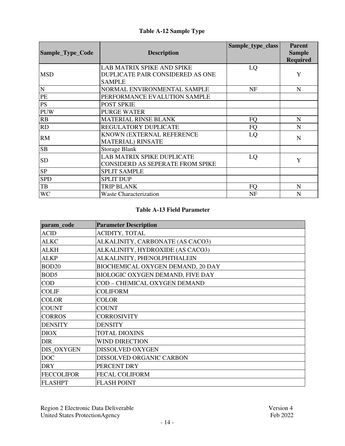## **Table A-12 Sample Type**

| Sample_Type_Code | <b>Description</b>                                                              | Sample_type_class | <b>Parent</b><br><b>Sample</b><br><b>Required</b> |
|------------------|---------------------------------------------------------------------------------|-------------------|---------------------------------------------------|
| <b>MSD</b>       | LAB MATRIX SPIKE AND SPIKE<br>DUPLICATE PAIR CONSIDERED AS ONE<br><b>SAMPLE</b> | LQ                | Y                                                 |
| ${\bf N}$        | NORMAL ENVIRONMENTAL SAMPLE                                                     | NF                | N                                                 |
| PE               | PERFORMANCE EVALUTION SAMPLE                                                    |                   |                                                   |
| <b>PS</b>        | POST SPKIE                                                                      |                   |                                                   |
| <b>PUW</b>       | <b>PURGE WATER</b>                                                              |                   |                                                   |
| RB               | <b>MATERIAL RINSE BLANK</b>                                                     | <b>FQ</b>         | N                                                 |
| RD               | REGULATORY DUPLICATE                                                            | FQ                | N                                                 |
| <b>RM</b>        | KNOWN (EXTERNAL REFERENCE<br><b>MATERIAL) RINSATE</b>                           | LQ                | N                                                 |
| <b>SB</b>        | <b>Storage Blank</b>                                                            |                   |                                                   |
| <b>SD</b>        | LAB MATRIX SPIKE DUPLICATE<br>CONSIDERD AS SEPERATE FROM SPIKE                  | LQ                | Y                                                 |
| <b>SP</b>        | <b>SPLIT SAMPLE</b>                                                             |                   |                                                   |
| <b>SPD</b>       | <b>SPLIT DUP</b>                                                                |                   |                                                   |
| TB               | <b>TRIP BLANK</b>                                                               | <b>FQ</b>         | N                                                 |
| <b>WC</b>        | <b>Waste Characterization</b>                                                   | NF                | N                                                 |

| param_code        | <b>Parameter Description</b>      |
|-------------------|-----------------------------------|
| <b>ACID</b>       | ACIDITY, TOTAL                    |
| <b>ALKC</b>       | ALKALINITY, CARBONATE (AS CACO3)  |
| <b>ALKH</b>       | ALKALINITY, HYDROXIDE (AS CACO3)  |
| <b>ALKP</b>       | ALKALINITY, PHENOLPHTHALEIN       |
| BOD <sub>20</sub> | BIOCHEMICAL OXYGEN DEMAND, 20 DAY |
| BOD <sub>5</sub>  | BIOLOGIC OXYGEN DEMAND, FIVE DAY  |
| <b>COD</b>        | COD-CHEMICAL OXYGEN DEMAND        |
| <b>COLIF</b>      | <b>COLIFORM</b>                   |
| <b>COLOR</b>      | <b>COLOR</b>                      |
| <b>COUNT</b>      | <b>COUNT</b>                      |
| <b>CORROS</b>     | <b>CORROSIVITY</b>                |
| <b>DENSITY</b>    | <b>DENSITY</b>                    |
| <b>DIOX</b>       | <b>TOTAL DIOXINS</b>              |
| <b>DIR</b>        | <b>WIND DIRECTION</b>             |
| DIS_OXYGEN        | DISSOLVED OXYGEN                  |
| <b>DOC</b>        | DISSOLVED ORGANIC CARBON          |
| <b>DRY</b>        | PERCENT DRY                       |
| <b>FECCOLIFOR</b> | <b>FECAL COLIFORM</b>             |
| <b>FLASHPT</b>    | <b>FLASH POINT</b>                |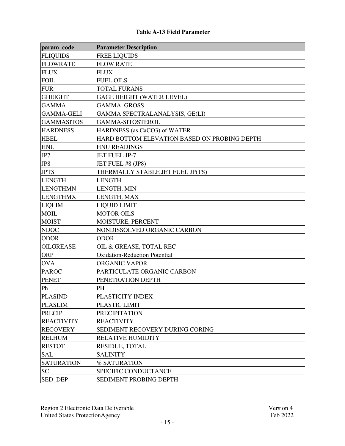| param_code        | <b>Parameter Description</b>                 |
|-------------------|----------------------------------------------|
| <b>FLIQUIDS</b>   | <b>FREE LIQUIDS</b>                          |
| <b>FLOWRATE</b>   | <b>FLOW RATE</b>                             |
| <b>FLUX</b>       | <b>FLUX</b>                                  |
| <b>FOIL</b>       | <b>FUEL OILS</b>                             |
| <b>FUR</b>        | <b>TOTAL FURANS</b>                          |
| <b>GHEIGHT</b>    | <b>GAGE HEIGHT (WATER LEVEL)</b>             |
| <b>GAMMA</b>      | GAMMA, GROSS                                 |
| <b>GAMMA-GELI</b> | GAMMA SPECTRALANALYSIS, GE(LI)               |
| <b>GAMMASITOS</b> | <b>GAMMA-SITOSTEROL</b>                      |
| <b>HARDNESS</b>   | <b>HARDNESS</b> (as CaCO3) of WATER          |
| <b>HBEL</b>       | HARD BOTTOM ELEVATION BASED ON PROBING DEPTH |
| <b>HNU</b>        | <b>HNU READINGS</b>                          |
| JP7               | JET FUEL JP-7                                |
| JP8               | JET FUEL #8 (JP8)                            |
| <b>JPTS</b>       | THERMALLY STABLE JET FUEL JP(TS)             |
| <b>LENGTH</b>     | <b>LENGTH</b>                                |
| <b>LENGTHMN</b>   | LENGTH, MIN                                  |
| <b>LENGTHMX</b>   | LENGTH, MAX                                  |
| <b>LIQLIM</b>     | <b>LIQUID LIMIT</b>                          |
| <b>MOIL</b>       | <b>MOTOR OILS</b>                            |
| <b>MOIST</b>      | MOISTURE, PERCENT                            |
| <b>NDOC</b>       | NONDISSOLVED ORGANIC CARBON                  |
| <b>ODOR</b>       | <b>ODOR</b>                                  |
| <b>OILGREASE</b>  | OIL & GREASE, TOTAL REC                      |
| <b>ORP</b>        | <b>Oxidation-Reduction Potential</b>         |
| <b>OVA</b>        | ORGANIC VAPOR                                |
| <b>PAROC</b>      | PARTICULATE ORGANIC CARBON                   |
| <b>PENET</b>      | PENETRATION DEPTH                            |
| Ph                | PH                                           |
| <b>PLASIND</b>    | PLASTICITY INDEX                             |
| <b>PLASLIM</b>    | PLASTIC LIMIT                                |
| <b>PRECIP</b>     | <b>PRECIPITATION</b>                         |
| <b>REACTIVITY</b> | <b>REACTIVITY</b>                            |
| <b>RECOVERY</b>   | SEDIMENT RECOVERY DURING CORING              |
| <b>RELHUM</b>     | <b>RELATIVE HUMIDITY</b>                     |
| <b>RESTOT</b>     | <b>RESIDUE, TOTAL</b>                        |
| <b>SAL</b>        | <b>SALINITY</b>                              |
| <b>SATURATION</b> | % SATURATION                                 |
| <b>SC</b>         | SPECIFIC CONDUCTANCE                         |
| <b>SED DEP</b>    | <b>SEDIMENT PROBING DEPTH</b>                |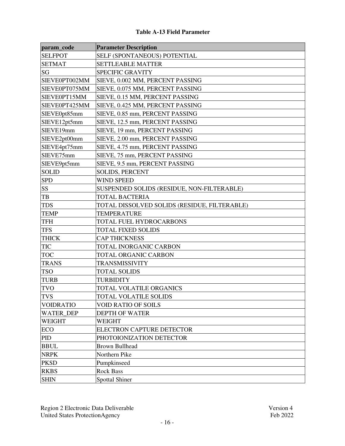| param_code       | <b>Parameter Description</b>                 |
|------------------|----------------------------------------------|
| <b>SELFPOT</b>   | SELF (SPONTANEOUS) POTENTIAL                 |
| <b>SETMAT</b>    | <b>SETTLEABLE MATTER</b>                     |
| SG               | <b>SPECIFIC GRAVITY</b>                      |
| SIEVE0PT002MM    | SIEVE, 0.002 MM, PERCENT PASSING             |
| SIEVE0PT075MM    | SIEVE, 0.075 MM, PERCENT PASSING             |
| SIEVE0PT15MM     | SIEVE, 0.15 MM, PERCENT PASSING              |
| SIEVE0PT425MM    | SIEVE, 0.425 MM, PERCENT PASSING             |
| SIEVE0pt85mm     | SIEVE, 0.85 mm, PERCENT PASSING              |
| SIEVE12pt5mm     | SIEVE, 12.5 mm, PERCENT PASSING              |
| SIEVE19mm        | SIEVE, 19 mm, PERCENT PASSING                |
| SIEVE2pt00mm     | SIEVE, 2.00 mm, PERCENT PASSING              |
| SIEVE4pt75mm     | SIEVE, 4.75 mm, PERCENT PASSING              |
| SIEVE75mm        | SIEVE, 75 mm, PERCENT PASSING                |
| SIEVE9pt5mm      | SIEVE, 9.5 mm, PERCENT PASSING               |
| <b>SOLID</b>     | <b>SOLIDS, PERCENT</b>                       |
| <b>SPD</b>       | <b>WIND SPEED</b>                            |
| <b>SS</b>        | SUSPENDED SOLIDS (RESIDUE, NON-FILTERABLE)   |
| TB               | <b>TOTAL BACTERIA</b>                        |
| <b>TDS</b>       | TOTAL DISSOLVED SOLIDS (RESIDUE, FILTERABLE) |
| <b>TEMP</b>      | <b>TEMPERATURE</b>                           |
| <b>TFH</b>       | TOTAL FUEL HYDROCARBONS                      |
| <b>TFS</b>       | <b>TOTAL FIXED SOLIDS</b>                    |
| <b>THICK</b>     | <b>CAP THICKNESS</b>                         |
| <b>TIC</b>       | TOTAL INORGANIC CARBON                       |
| <b>TOC</b>       | TOTAL ORGANIC CARBON                         |
| <b>TRANS</b>     | TRANSMISSIVITY                               |
| <b>TSO</b>       | <b>TOTAL SOLIDS</b>                          |
| <b>TURB</b>      | <b>TURBIDITY</b>                             |
| <b>TVO</b>       | TOTAL VOLATILE ORGANICS                      |
| <b>TVS</b>       | TOTAL VOLATILE SOLIDS                        |
| <b>VOIDRATIO</b> | <b>VOID RATIO OF SOILS</b>                   |
| WATER_DEP        | <b>DEPTH OF WATER</b>                        |
| <b>WEIGHT</b>    | WEIGHT                                       |
| <b>ECO</b>       | ELECTRON CAPTURE DETECTOR                    |
| PID              | PHOTOIONIZATION DETECTOR                     |
| <b>BBUL</b>      | <b>Brown Bullhead</b>                        |
| <b>NRPK</b>      | Northern Pike                                |
| <b>PKSD</b>      | Pumpkinseed                                  |
| <b>RKBS</b>      | <b>Rock Bass</b>                             |
| <b>SHIN</b>      | <b>Spottal Shiner</b>                        |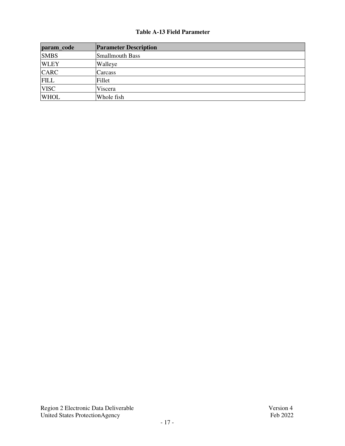| param_code  | <b>Parameter Description</b> |
|-------------|------------------------------|
| <b>SMBS</b> | <b>Smallmouth Bass</b>       |
| <b>WLEY</b> | Walleye                      |
| <b>CARC</b> | Carcass                      |
| <b>FILL</b> | Fillet                       |
| <b>VISC</b> | Viscera                      |
| <b>WHOL</b> | Whole fish                   |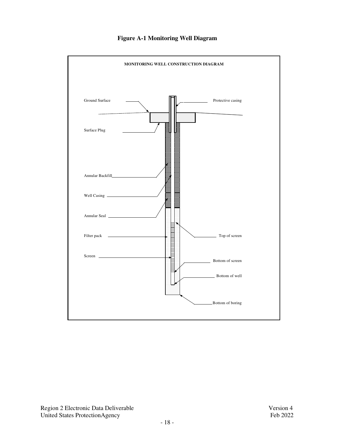

## **Figure A-1 Monitoring Well Diagram**